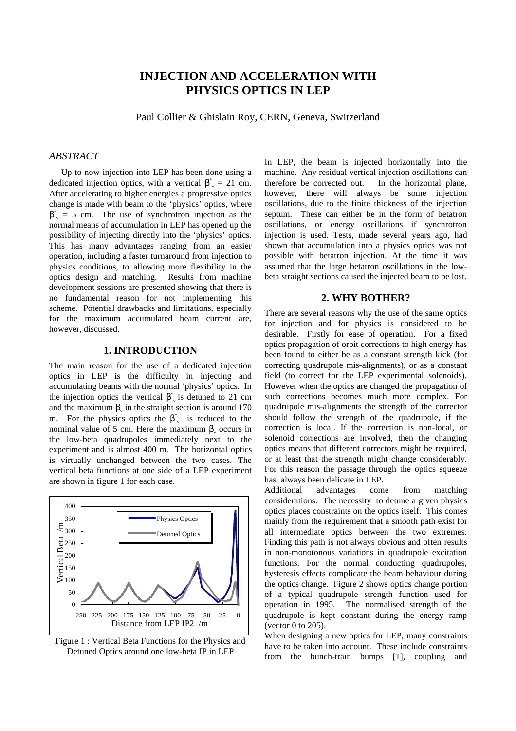# **INJECTION AND ACCELERATION WITH PHYSICS OPTICS IN LEP**

Paul Collier & Ghislain Roy, CERN, Geneva, Switzerland

# *ABSTRACT*

Up to now injection into LEP has been done using a dedicated injection optics, with a vertical  $\beta^* = 21$  cm. After accelerating to higher energies a progressive optics change is made with beam to the 'physics' optics, where  $\beta^* = 5$  cm. The use of synchrotron injection as the normal means of accumulation in LEP has opened up the possibility of injecting directly into the 'physics' optics. This has many advantages ranging from an easier operation, including a faster turnaround from injection to physics conditions, to allowing more flexibility in the optics design and matching. Results from machine development sessions are presented showing that there is no fundamental reason for not implementing this scheme. Potential drawbacks and limitations, especially for the maximum accumulated beam current are, however, discussed.

# **1. INTRODUCTION**

The main reason for the use of a dedicated injection optics in LEP is the difficulty in injecting and accumulating beams with the normal 'physics' optics. In the injection optics the vertical  $\beta^*$  is detuned to 21 cm and the maximum  $\beta$  in the straight section is around 170 m. For the physics optics the  $\beta^*$  is reduced to the nominal value of 5 cm. Here the maximum  $β$  occurs in the low-beta quadrupoles immediately next to the experiment and is almost 400 m. The horizontal optics is virtually unchanged between the two cases. The vertical beta functions at one side of a LEP experiment are shown in figure 1 for each case.



Figure 1 : Vertical Beta Functions for the Physics and Detuned Optics around one low-beta IP in LEP

In LEP, the beam is injected horizontally into the machine. Any residual vertical injection oscillations can therefore be corrected out. In the horizontal plane, however, there will always be some injection oscillations, due to the finite thickness of the injection septum. These can either be in the form of betatron oscillations, or energy oscillations if synchrotron injection is used. Tests, made several years ago, had shown that accumulation into a physics optics was not possible with betatron injection. At the time it was assumed that the large betatron oscillations in the lowbeta straight sections caused the injected beam to be lost.

#### **2. WHY BOTHER?**

There are several reasons why the use of the same optics for injection and for physics is considered to be desirable. Firstly for ease of operation. For a fixed optics propagation of orbit corrections to high energy has been found to either be as a constant strength kick (for correcting quadrupole mis-alignments), or as a constant field (to correct for the LEP experimental solenoids). However when the optics are changed the propagation of such corrections becomes much more complex. For quadrupole mis-alignments the strength of the corrector should follow the strength of the quadrupole, if the correction is local. If the correction is non-local, or solenoid corrections are involved, then the changing optics means that different correctors might be required, or at least that the strength might change considerably. For this reason the passage through the optics squeeze has always been delicate in LEP.

Additional advantages come from matching considerations. The necessity to detune a given physics optics places constraints on the optics itself. This comes mainly from the requirement that a smooth path exist for all intermediate optics between the two extremes. Finding this path is not always obvious and often results in non-monotonous variations in quadrupole excitation functions. For the normal conducting quadrupoles, hysteresis effects complicate the beam behaviour during the optics change. Figure 2 shows optics change portion of a typical quadrupole strength function used for operation in 1995. The normalised strength of the quadrupole is kept constant during the energy ramp (vector 0 to 205).

When designing a new optics for LEP, many constraints have to be taken into account. These include constraints from the bunch-train bumps [1], coupling and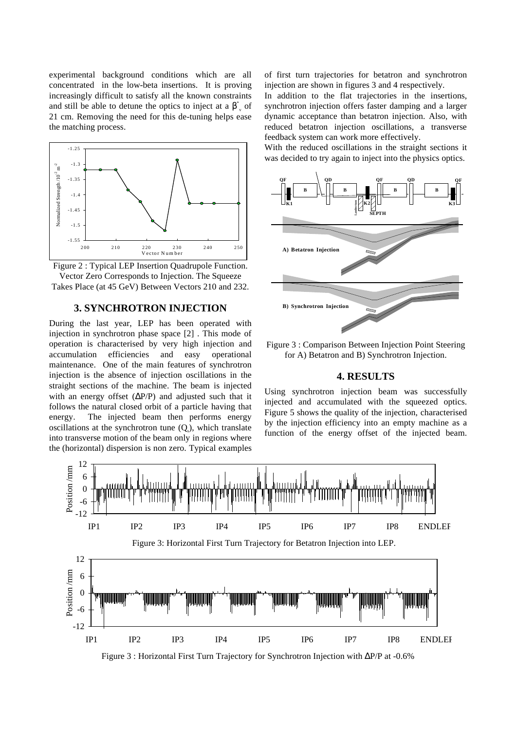experimental background conditions which are all concentrated in the low-beta insertions. It is proving increasingly difficult to satisfy all the known constraints and still be able to detune the optics to inject at a  $\beta^*$  of 21 cm. Removing the need for this de-tuning helps ease the matching process.



Figure 2 : Typical LEP Insertion Quadrupole Function. Vector Zero Corresponds to Injection. The Squeeze Takes Place (at 45 GeV) Between Vectors 210 and 232.

# **3. SYNCHROTRON INJECTION**

During the last year, LEP has been operated with injection in synchrotron phase space [2] . This mode of operation is characterised by very high injection and accumulation efficiencies and easy operational maintenance. One of the main features of synchrotron injection is the absence of injection oscillations in the straight sections of the machine. The beam is injected with an energy offset  $(\Delta P/P)$  and adjusted such that it follows the natural closed orbit of a particle having that energy. The injected beam then performs energy oscillations at the synchrotron tune  $(Q_s)$ , which translate into transverse motion of the beam only in regions where the (horizontal) dispersion is non zero. Typical examples

of first turn trajectories for betatron and synchrotron injection are shown in figures 3 and 4 respectively.

In addition to the flat trajectories in the insertions, synchrotron injection offers faster damping and a larger dynamic acceptance than betatron injection. Also, with reduced betatron injection oscillations, a transverse feedback system can work more effectively.

With the reduced oscillations in the straight sections it was decided to try again to inject into the physics optics.



Figure 3 : Comparison Between Injection Point Steering for A) Betatron and B) Synchrotron Injection.

#### **4. RESULTS**

Using synchrotron injection beam was successfully injected and accumulated with the squeezed optics. Figure 5 shows the quality of the injection, characterised by the injection efficiency into an empty machine as a function of the energy offset of the injected beam.



Figure 3 : Horizontal First Turn Trajectory for Synchrotron Injection with ∆P/P at -0.6%